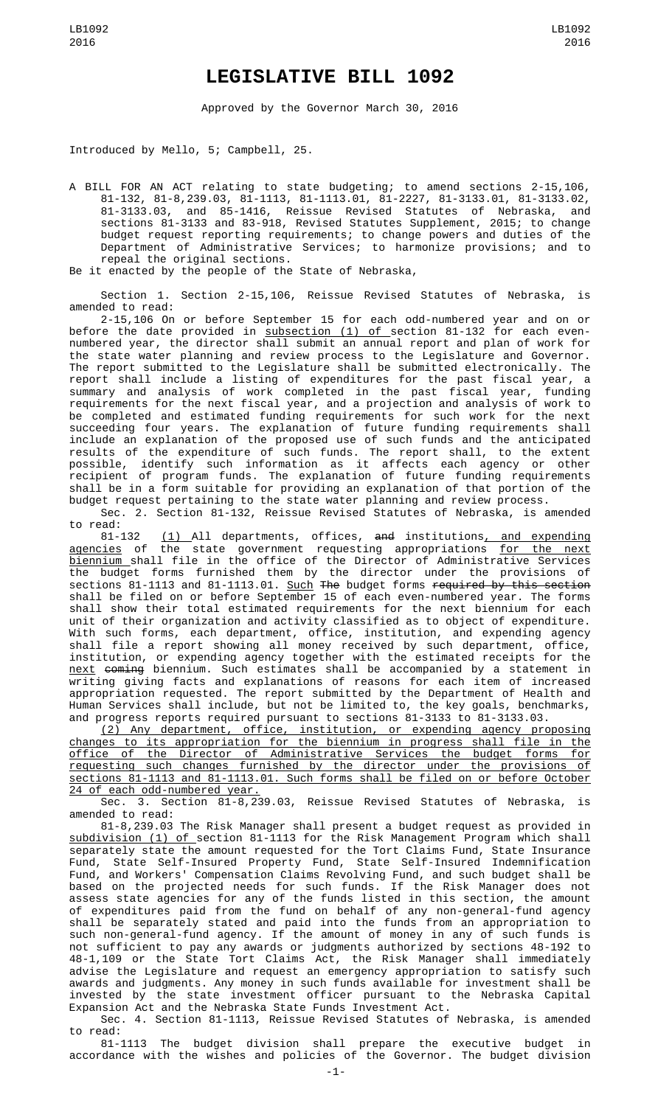## **LEGISLATIVE BILL 1092**

Approved by the Governor March 30, 2016

Introduced by Mello, 5; Campbell, 25.

A BILL FOR AN ACT relating to state budgeting; to amend sections 2-15,106, 81-132, 81-8,239.03, 81-1113, 81-1113.01, 81-2227, 81-3133.01, 81-3133.02, 81-3133.03, and 85-1416, Reissue Revised Statutes of Nebraska, and sections 81-3133 and 83-918, Revised Statutes Supplement, 2015; to change budget request reporting requirements; to change powers and duties of the Department of Administrative Services; to harmonize provisions; and to repeal the original sections.

Be it enacted by the people of the State of Nebraska,

Section 1. Section 2-15,106, Reissue Revised Statutes of Nebraska, is amended to read:

2-15,106 On or before September 15 for each odd-numbered year and on or before the date provided in <u>subsection (1) of s</u>ection 81-132 for each evennumbered year, the director shall submit an annual report and plan of work for the state water planning and review process to the Legislature and Governor. The report submitted to the Legislature shall be submitted electronically. The report shall include a listing of expenditures for the past fiscal year, a summary and analysis of work completed in the past fiscal year, funding requirements for the next fiscal year, and a projection and analysis of work to be completed and estimated funding requirements for such work for the next succeeding four years. The explanation of future funding requirements shall include an explanation of the proposed use of such funds and the anticipated results of the expenditure of such funds. The report shall, to the extent possible, identify such information as it affects each agency or other recipient of program funds. The explanation of future funding requirements shall be in a form suitable for providing an explanation of that portion of the budget request pertaining to the state water planning and review process.

Sec. 2. Section 81-132, Reissue Revised Statutes of Nebraska, is amended to read:

81-132 <u>(1)</u> All departments, offices, <del>and</del> institutions<u>, and expending</u> <u>agencies</u> of the state government requesting appropriations <u>for the next</u> biennium shall file in the office of the Director of Administrative Services the budget forms furnished them by the director under the provisions of sections 81-1113 and 81-1113.01. <u>Such</u> T<del>h</del>e budget forms <del>required by this section</del> shall be filed on or before September 15 of each even-numbered year. The forms shall show their total estimated requirements for the next biennium for each unit of their organization and activity classified as to object of expenditure. With such forms, each department, office, institution, and expending agency shall file a report showing all money received by such department, office, institution, or expending agency together with the estimated receipts for the <u>next</u> <del>coming</del> biennium. Such estimates shall be accompanied by a statement in writing giving facts and explanations of reasons for each item of increased appropriation requested. The report submitted by the Department of Health and Human Services shall include, but not be limited to, the key goals, benchmarks, and progress reports required pursuant to sections 81-3133 to 81-3133.03.

(2) Any department, office, institution, or expending agency proposing changes to its appropriation for the biennium in progress shall file in the office of the Director of Administrative Services the budget forms for requesting such changes furnished by the director under the provisions of sections 81-1113 and 81-1113.01. Such forms shall be filed on or before October 24 of each odd-numbered year.

Sec. 3. Section 81-8,239.03, Reissue Revised Statutes of Nebraska, is amended to read:

81-8,239.03 The Risk Manager shall present a budget request as provided in subdivision (1) of section 81-1113 for the Risk Management Program which shall separately state the amount requested for the Tort Claims Fund, State Insurance Fund, State Self-Insured Property Fund, State Self-Insured Indemnification Fund, and Workers' Compensation Claims Revolving Fund, and such budget shall be based on the projected needs for such funds. If the Risk Manager does not assess state agencies for any of the funds listed in this section, the amount of expenditures paid from the fund on behalf of any non-general-fund agency shall be separately stated and paid into the funds from an appropriation to such non-general-fund agency. If the amount of money in any of such funds is not sufficient to pay any awards or judgments authorized by sections 48-192 to 48-1,109 or the State Tort Claims Act, the Risk Manager shall immediately advise the Legislature and request an emergency appropriation to satisfy such awards and judgments. Any money in such funds available for investment shall be invested by the state investment officer pursuant to the Nebraska Capital Expansion Act and the Nebraska State Funds Investment Act.

Sec. 4. Section 81-1113, Reissue Revised Statutes of Nebraska, is amended to read:

81-1113 The budget division shall prepare the executive budget in accordance with the wishes and policies of the Governor. The budget division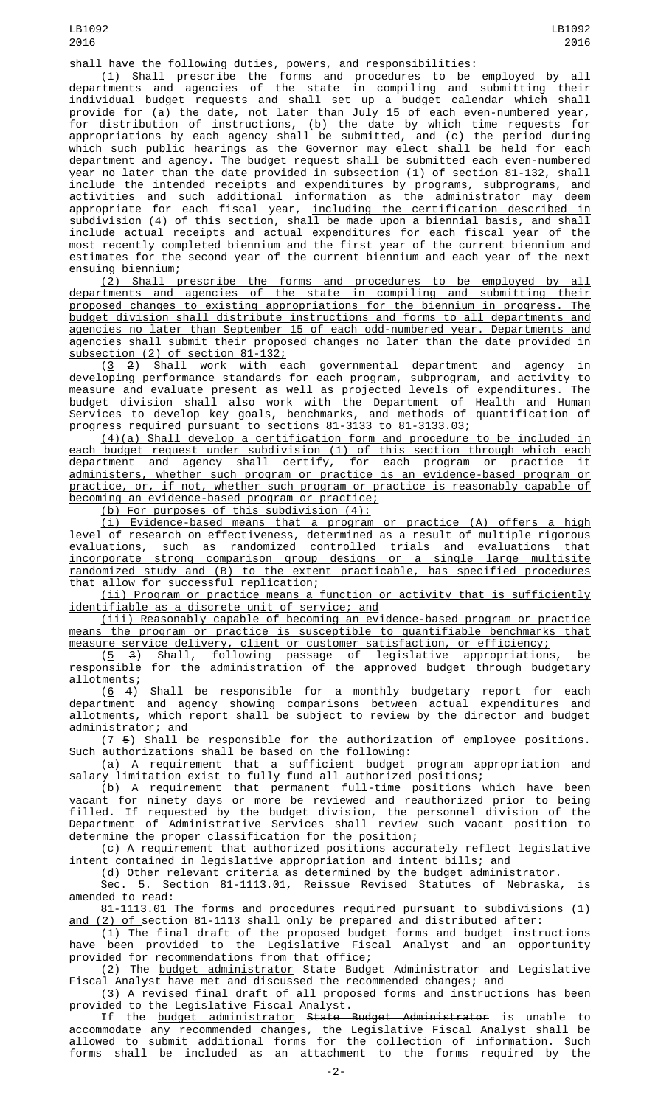shall have the following duties, powers, and responsibilities:

(1) Shall prescribe the forms and procedures to be employed by all departments and agencies of the state in compiling and submitting their individual budget requests and shall set up a budget calendar which shall provide for (a) the date, not later than July 15 of each even-numbered year, for distribution of instructions, (b) the date by which time requests for appropriations by each agency shall be submitted, and (c) the period during which such public hearings as the Governor may elect shall be held for each department and agency. The budget request shall be submitted each even-numbered year no later than the date provided in subsection (1) of section 81-132, shall include the intended receipts and expenditures by programs, subprograms, and activities and such additional information as the administrator may deem appropriate for each fiscal year, <u>including the certification described in</u> subdivision (4) of this section, shall be made upon a biennial basis, and shall include actual receipts and actual expenditures for each fiscal year of the most recently completed biennium and the first year of the current biennium and estimates for the second year of the current biennium and each year of the next ensuing biennium;

(2) Shall prescribe the forms and procedures to be employed by all departments and agencies of the state in compiling and submitting their proposed changes to existing appropriations for the biennium in progress. The budget division shall distribute instructions and forms to all departments and agencies no later than September 15 of each odd-numbered year. Departments and agencies shall submit their proposed changes no later than the date provided in subsection (2) of section 81-132;

(3 2) Shall work with each governmental department and agency in developing performance standards for each program, subprogram, and activity to measure and evaluate present as well as projected levels of expenditures. The budget division shall also work with the Department of Health and Human Services to develop key goals, benchmarks, and methods of quantification of progress required pursuant to sections 81-3133 to 81-3133.03;

(4)(a) Shall develop a certification form and procedure to be included in each budget request under subdivision (1) of this section through which each department and agency shall certify, for each program or practice it administers, whether such program or practice is an evidence-based program or practice, or, if not, whether such program or practice is reasonably capable of becoming an evidence-based program or practice;

(b) For purposes of this subdivision (4):

(i) Evidence-based means that a program or practice (A) offers a high level of research on effectiveness, determined as a result of multiple rigorous<br>evaluations, such as randomized controlled trials and evaluations that evaluations, such as randomized controlled trials and evaluations that incorporate strong comparison group designs or a single large multisite randomized study and (B) to the extent practicable, has specified procedures that allow for successful replication;

(ii) Program or practice means a function or activity that is sufficiently identifiable as a discrete unit of service; and

(iii) Reasonably capable of becoming an evidence-based program or practice means the program or practice is susceptible to quantifiable benchmarks that measure service delivery, client or customer satisfaction, or efficiency;

 $(5 \t3)$  Shall, following passage of legislative appropriations, be responsible for the administration of the approved budget through budgetary allotments;

 $(6 4)$  Shall be responsible for a monthly budgetary report for each department and agency showing comparisons between actual expenditures and allotments, which report shall be subject to review by the director and budget administrator; and

 $(7, 5)$  Shall be responsible for the authorization of employee positions. Such authorizations shall be based on the following:

(a) A requirement that a sufficient budget program appropriation and salary limitation exist to fully fund all authorized positions;

(b) A requirement that permanent full-time positions which have been vacant for ninety days or more be reviewed and reauthorized prior to being filled. If requested by the budget division, the personnel division of the Department of Administrative Services shall review such vacant position to determine the proper classification for the position;

(c) A requirement that authorized positions accurately reflect legislative intent contained in legislative appropriation and intent bills; and

(d) Other relevant criteria as determined by the budget administrator. Sec. 5. Section 81-1113.01, Reissue Revised Statutes of Nebraska, is

amended to read: 81-1113.01 The forms and procedures required pursuant to <u>subdivisions (1)</u> <u>and (2) of section 81-1113 shall only be prepared and distributed after:</u>

(1) The final draft of the proposed budget forms and budget instructions have been provided to the Legislative Fiscal Analyst and an opportunity provided for recommendations from that office;

(2) The budget administrator State Budget Administrator and Legislative Fiscal Analyst have met and discussed the recommended changes; and

(3) A revised final draft of all proposed forms and instructions has been provided to the Legislative Fiscal Analyst.

If the <u>budget administrator</u> <del>State Budget Administrator</del> is unable to accommodate any recommended changes, the Legislative Fiscal Analyst shall be allowed to submit additional forms for the collection of information. Such forms shall be included as an attachment to the forms required by the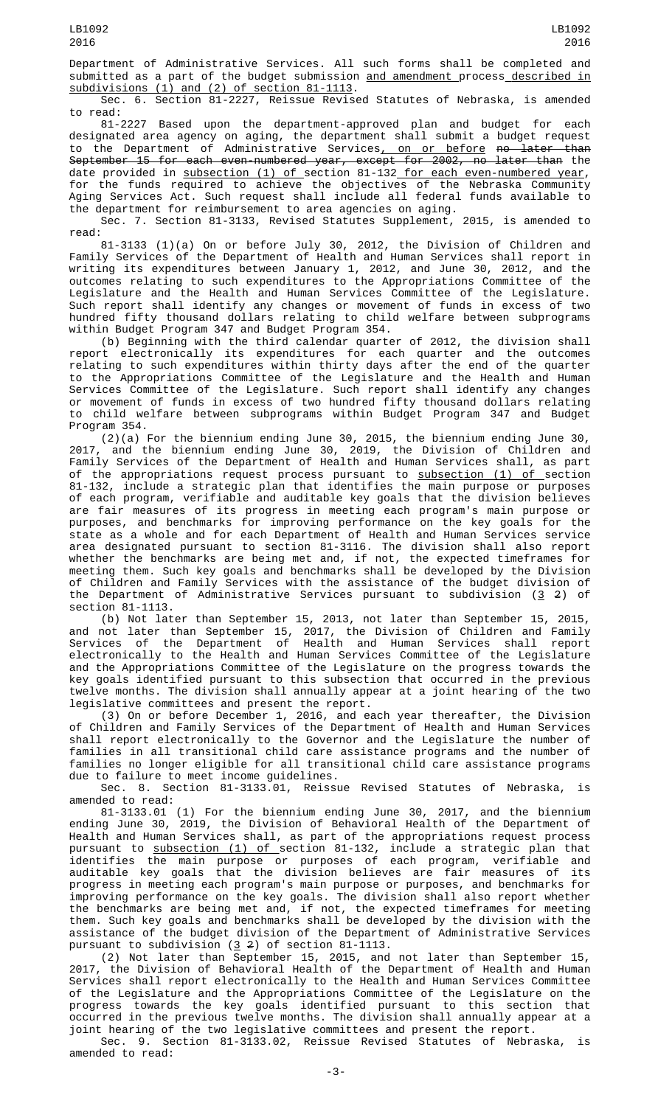Department of Administrative Services. All such forms shall be completed and submitted as a part of the budget submission <u>and amendment p</u>rocess<u> described in</u> subdivisions (1) and (2) of section 81-1113.

Sec. 6. Section 81-2227, Reissue Revised Statutes of Nebraska, is amended to read:

81-2227 Based upon the department-approved plan and budget for each designated area agency on aging, the department shall submit a budget request to the Department of Administrative Services<u>, on or before</u> <del>no later than</del> September 15 for each even-numbered year, except for 2002, no later than the date provided in <u>subsection (1) of section 81-132 for each even-numbered year</u>, for the funds required to achieve the objectives of the Nebraska Community Aging Services Act. Such request shall include all federal funds available to

the department for reimbursement to area agencies on aging. Sec. 7. Section 81-3133, Revised Statutes Supplement, 2015, is amended to read:

81-3133 (1)(a) On or before July 30, 2012, the Division of Children and Family Services of the Department of Health and Human Services shall report in writing its expenditures between January 1, 2012, and June 30, 2012, and the outcomes relating to such expenditures to the Appropriations Committee of the Legislature and the Health and Human Services Committee of the Legislature. Such report shall identify any changes or movement of funds in excess of two hundred fifty thousand dollars relating to child welfare between subprograms within Budget Program 347 and Budget Program 354.

(b) Beginning with the third calendar quarter of 2012, the division shall report electronically its expenditures for each quarter and the outcomes relating to such expenditures within thirty days after the end of the quarter to the Appropriations Committee of the Legislature and the Health and Human Services Committee of the Legislature. Such report shall identify any changes or movement of funds in excess of two hundred fifty thousand dollars relating to child welfare between subprograms within Budget Program 347 and Budget Program 354.

(2)(a) For the biennium ending June 30, 2015, the biennium ending June 30, 2017, and the biennium ending June 30, 2019, the Division of Children and Family Services of the Department of Health and Human Services shall, as part of the appropriations request process pursuant to <u>subsection (1) of </u>section 81-132, include a strategic plan that identifies the main purpose or purposes of each program, verifiable and auditable key goals that the division believes are fair measures of its progress in meeting each program's main purpose or purposes, and benchmarks for improving performance on the key goals for the state as a whole and for each Department of Health and Human Services service area designated pursuant to section 81-3116. The division shall also report whether the benchmarks are being met and, if not, the expected timeframes for meeting them. Such key goals and benchmarks shall be developed by the Division of Children and Family Services with the assistance of the budget division of the Department of Administrative Services pursuant to subdivision ( $3/2$ ) of section 81-1113.

(b) Not later than September 15, 2013, not later than September 15, 2015, and not later than September 15, 2017, the Division of Children and Family Services of the Department of Health and Human Services shall report electronically to the Health and Human Services Committee of the Legislature and the Appropriations Committee of the Legislature on the progress towards the key goals identified pursuant to this subsection that occurred in the previous twelve months. The division shall annually appear at a joint hearing of the two legislative committees and present the report.

(3) On or before December 1, 2016, and each year thereafter, the Division of Children and Family Services of the Department of Health and Human Services shall report electronically to the Governor and the Legislature the number of families in all transitional child care assistance programs and the number of families no longer eligible for all transitional child care assistance programs due to failure to meet income guidelines.

Sec. 8. Section 81-3133.01, Reissue Revised Statutes of Nebraska, is amended to read:

81-3133.01 (1) For the biennium ending June 30, 2017, and the biennium ending June 30, 2019, the Division of Behavioral Health of the Department of Health and Human Services shall, as part of the appropriations request process pursuant to <u>subsection (1) of s</u>ection 81-132, include a strategic plan that identifies the main purpose or purposes of each program, verifiable and auditable key goals that the division believes are fair measures of its progress in meeting each program's main purpose or purposes, and benchmarks for improving performance on the key goals. The division shall also report whether the benchmarks are being met and, if not, the expected timeframes for meeting them. Such key goals and benchmarks shall be developed by the division with the assistance of the budget division of the Department of Administrative Services pursuant to subdivision  $(3, 2)$  of section 81-1113.

(2) Not later than September 15, 2015, and not later than September 15, 2017, the Division of Behavioral Health of the Department of Health and Human Services shall report electronically to the Health and Human Services Committee of the Legislature and the Appropriations Committee of the Legislature on the progress towards the key goals identified pursuant to this section that occurred in the previous twelve months. The division shall annually appear at a joint hearing of the two legislative committees and present the report.

Sec. 9. Section 81-3133.02, Reissue Revised Statutes of Nebraska, is amended to read: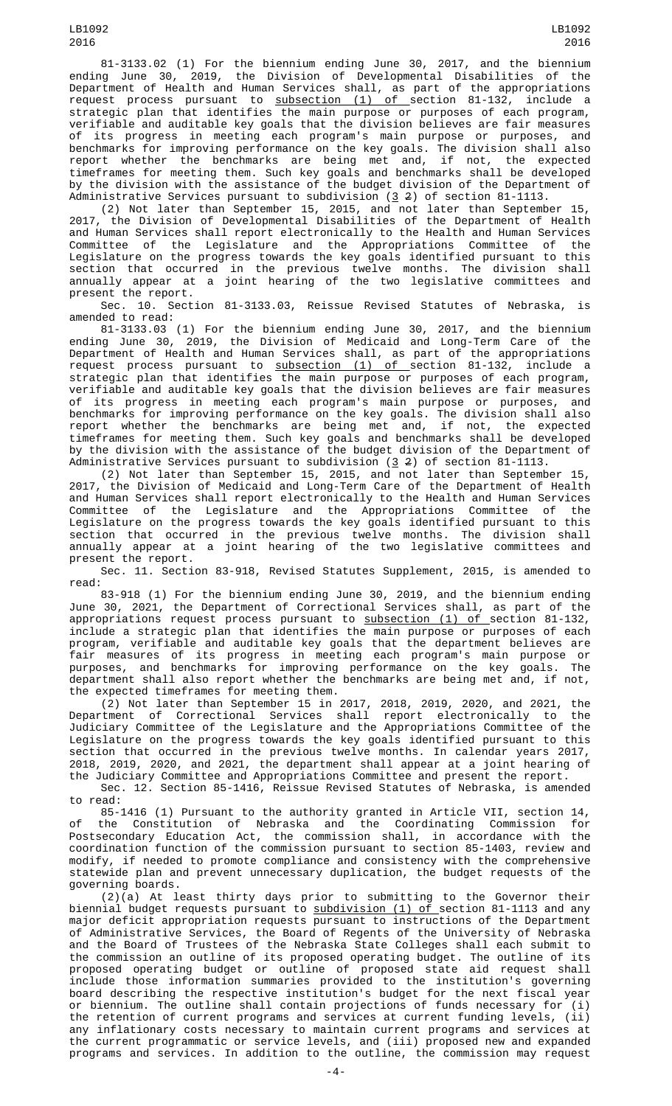81-3133.02 (1) For the biennium ending June 30, 2017, and the biennium ending June 30, 2019, the Division of Developmental Disabilities of the Department of Health and Human Services shall, as part of the appropriations request process pursuant to <u>subsection (1) of s</u>ection 81-132, include a strategic plan that identifies the main purpose or purposes of each program, verifiable and auditable key goals that the division believes are fair measures of its progress in meeting each program's main purpose or purposes, and benchmarks for improving performance on the key goals. The division shall also report whether the benchmarks are being met and, if not, the expected timeframes for meeting them. Such key goals and benchmarks shall be developed by the division with the assistance of the budget division of the Department of Administrative Services pursuant to subdivision (<u>3</u> 2) of section 81-1113.

(2) Not later than September 15, 2015, and not later than September 15, 2017, the Division of Developmental Disabilities of the Department of Health and Human Services shall report electronically to the Health and Human Services Committee of the Legislature and the Appropriations Committee of the Legislature on the progress towards the key goals identified pursuant to this section that occurred in the previous twelve months. The division shall annually appear at a joint hearing of the two legislative committees and present the report.

Sec. 10. Section 81-3133.03, Reissue Revised Statutes of Nebraska, is amended to read:

81-3133.03 (1) For the biennium ending June 30, 2017, and the biennium ending June 30, 2019, the Division of Medicaid and Long-Term Care of the Department of Health and Human Services shall, as part of the appropriations request process pursuant to <u>subsection (1) of s</u>ection 81-132, include a strategic plan that identifies the main purpose or purposes of each program, verifiable and auditable key goals that the division believes are fair measures of its progress in meeting each program's main purpose or purposes, and benchmarks for improving performance on the key goals. The division shall also report whether the benchmarks are being met and, if not, the expected timeframes for meeting them. Such key goals and benchmarks shall be developed by the division with the assistance of the budget division of the Department of Administrative Services pursuant to subdivision (3 2) of section 81-1113.

(2) Not later than September 15, 2015, and not later than September 15, 2017, the Division of Medicaid and Long-Term Care of the Department of Health and Human Services shall report electronically to the Health and Human Services Committee of the Legislature and the Appropriations Committee of the Legislature on the progress towards the key goals identified pursuant to this section that occurred in the previous twelve months. The division shall annually appear at a joint hearing of the two legislative committees and present the report.

Sec. 11. Section 83-918, Revised Statutes Supplement, 2015, is amended to read:

83-918 (1) For the biennium ending June 30, 2019, and the biennium ending June 30, 2021, the Department of Correctional Services shall, as part of the appropriations request process pursuant to <u>subsection (1) of </u>section 81-132, include a strategic plan that identifies the main purpose or purposes of each program, verifiable and auditable key goals that the department believes are fair measures of its progress in meeting each program's main purpose or purposes, and benchmarks for improving performance on the key goals. The department shall also report whether the benchmarks are being met and, if not, the expected timeframes for meeting them.

(2) Not later than September 15 in 2017, 2018, 2019, 2020, and 2021, the Department of Correctional Services shall report electronically to the Judiciary Committee of the Legislature and the Appropriations Committee of the Legislature on the progress towards the key goals identified pursuant to this section that occurred in the previous twelve months. In calendar years 2017, 2018, 2019, 2020, and 2021, the department shall appear at a joint hearing of the Judiciary Committee and Appropriations Committee and present the report.

Sec. 12. Section 85-1416, Reissue Revised Statutes of Nebraska, is amended to read:

85-1416 (1) Pursuant to the authority granted in Article VII, section 14, of the Constitution of Nebraska and the Coordinating Commission for Postsecondary Education Act, the commission shall, in accordance with the coordination function of the commission pursuant to section 85-1403, review and modify, if needed to promote compliance and consistency with the comprehensive statewide plan and prevent unnecessary duplication, the budget requests of the governing boards.

 $(2)(a)$  At least thirty days prior to submitting to the Governor their biennial budget requests pursuant to subdivision (1) of section 81-1113 and any major deficit appropriation requests pursuant to instructions of the Department of Administrative Services, the Board of Regents of the University of Nebraska and the Board of Trustees of the Nebraska State Colleges shall each submit to the commission an outline of its proposed operating budget. The outline of its proposed operating budget or outline of proposed state aid request shall include those information summaries provided to the institution's governing board describing the respective institution's budget for the next fiscal year or biennium. The outline shall contain projections of funds necessary for (i) the retention of current programs and services at current funding levels, (ii) any inflationary costs necessary to maintain current programs and services at the current programmatic or service levels, and (iii) proposed new and expanded programs and services. In addition to the outline, the commission may request